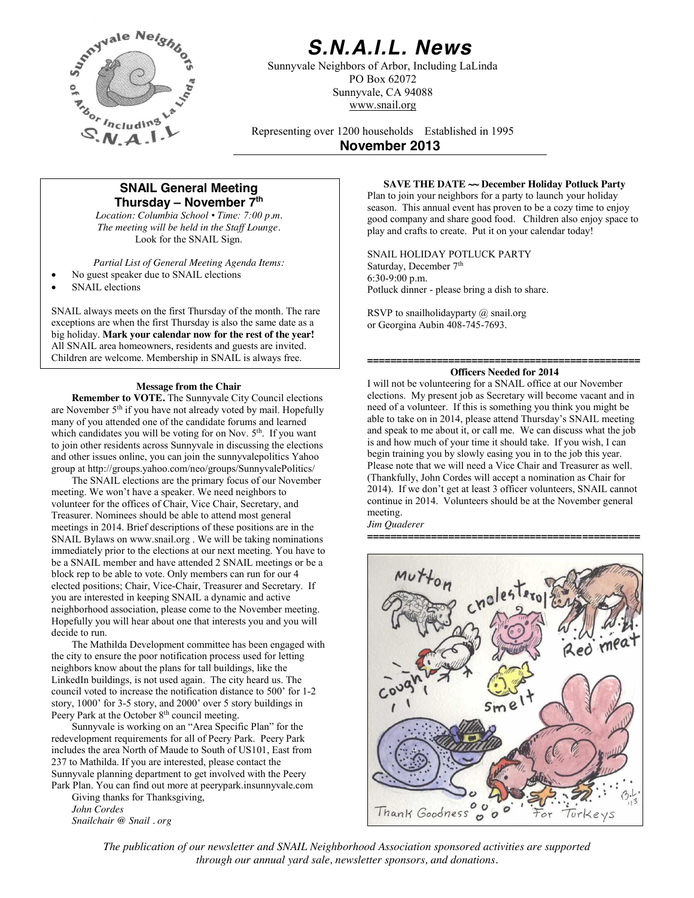

# *S.N.A.I.L. News*

Sunnyvale Neighbors of Arbor, Including LaLinda PO Box 62072 Sunnyvale, CA 94088 www.snail.org

Representing over 1200 households Established in 1995 **November 2013**

# **SNAIL General Meeting Thursday – November 7th**

*Location: Columbia School • Time: 7:00 p.m. The meeting will be held in the Staff Lounge.* Look for the SNAIL Sign.

*Partial List of General Meeting Agenda Items:*

- No guest speaker due to SNAIL elections
- SNAIL elections

SNAIL always meets on the first Thursday of the month. The rare exceptions are when the first Thursday is also the same date as a big holiday. **Mark your calendar now for the rest of the year!** All SNAIL area homeowners, residents and guests are invited. Children are welcome. Membership in SNAIL is always free.

#### **Message from the Chair**

**Remember to VOTE.** The Sunnyvale City Council elections are November 5<sup>th</sup> if you have not already voted by mail. Hopefully many of you attended one of the candidate forums and learned which candidates you will be voting for on Nov.  $5<sup>th</sup>$ . If you want to join other residents across Sunnyvale in discussing the elections and other issues online, you can join the sunnyvalepolitics Yahoo group at http://groups.yahoo.com/neo/groups/SunnyvalePolitics/

The SNAIL elections are the primary focus of our November meeting. We won't have a speaker. We need neighbors to volunteer for the offices of Chair, Vice Chair, Secretary, and Treasurer. Nominees should be able to attend most general meetings in 2014. Brief descriptions of these positions are in the SNAIL Bylaws on www.snail.org . We will be taking nominations immediately prior to the elections at our next meeting. You have to be a SNAIL member and have attended 2 SNAIL meetings or be a block rep to be able to vote. Only members can run for our 4 elected positions; Chair, Vice-Chair, Treasurer and Secretary. If you are interested in keeping SNAIL a dynamic and active neighborhood association, please come to the November meeting. Hopefully you will hear about one that interests you and you will decide to run.

The Mathilda Development committee has been engaged with the city to ensure the poor notification process used for letting neighbors know about the plans for tall buildings, like the LinkedIn buildings, is not used again. The city heard us. The council voted to increase the notification distance to 500' for 1-2 story, 1000' for 3-5 story, and 2000' over 5 story buildings in Peery Park at the October 8<sup>th</sup> council meeting.

Sunnyvale is working on an "Area Specific Plan" for the redevelopment requirements for all of Peery Park. Peery Park includes the area North of Maude to South of US101, East from 237 to Mathilda. If you are interested, please contact the Sunnyvale planning department to get involved with the Peery Park Plan. You can find out more at peerypark.insunnyvale.com

Giving thanks for Thanksgiving, *John Cordes Snailchair @ Snail . org*

**SAVE THE DATE ~~ December Holiday Potluck Party** Plan to join your neighbors for a party to launch your holiday season. This annual event has proven to be a cozy time to enjoy good company and share good food. Children also enjoy space to play and crafts to create. Put it on your calendar today!

SNAIL HOLIDAY POTLUCK PARTY Saturday, December 7<sup>th</sup> 6:30-9:00 p.m. Potluck dinner - please bring a dish to share.

RSVP to snailholidayparty @ snail.org or Georgina Aubin 408-745-7693.

#### **=============================================== Officers Needed for 2014**

I will not be volunteering for a SNAIL office at our November elections. My present job as Secretary will become vacant and in need of a volunteer. If this is something you think you might be able to take on in 2014, please attend Thursday's SNAIL meeting and speak to me about it, or call me. We can discuss what the job is and how much of your time it should take. If you wish, I can begin training you by slowly easing you in to the job this year. Please note that we will need a Vice Chair and Treasurer as well. (Thankfully, John Cordes will accept a nomination as Chair for 2014). If we don't get at least 3 officer volunteers, SNAIL cannot continue in 2014. Volunteers should be at the November general meeting.

**===============================================**

*Jim Quaderer*

 $MuH_{0u}$ Red meat  $5m$ e Thank Goodness  $\circ$  $\circ$  $|v\mathsf{r}|$ 

*The publication of our newsletter and SNAIL Neighborhood Association sponsored activities are supported through our annual yard sale, newsletter sponsors, and donations.*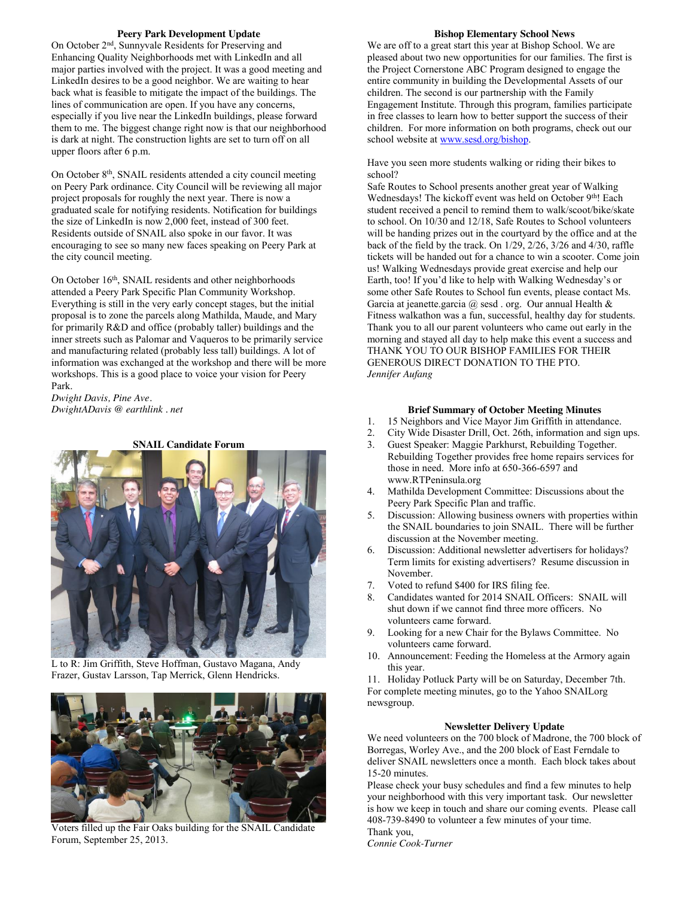#### **Peery Park Development Update**

On October 2nd, Sunnyvale Residents for Preserving and Enhancing Quality Neighborhoods met with LinkedIn and all major parties involved with the project. It was a good meeting and LinkedIn desires to be a good neighbor. We are waiting to hear back what is feasible to mitigate the impact of the buildings. The lines of communication are open. If you have any concerns, especially if you live near the LinkedIn buildings, please forward them to me. The biggest change right now is that our neighborhood is dark at night. The construction lights are set to turn off on all upper floors after 6 p.m.

On October 8th, SNAIL residents attended a city council meeting on Peery Park ordinance. City Council will be reviewing all major project proposals for roughly the next year. There is now a graduated scale for notifying residents. Notification for buildings the size of LinkedIn is now 2,000 feet, instead of 300 feet. Residents outside of SNAIL also spoke in our favor. It was encouraging to see so many new faces speaking on Peery Park at the city council meeting.

On October 16<sup>th</sup>, SNAIL residents and other neighborhoods attended a Peery Park Specific Plan Community Workshop. Everything is still in the very early concept stages, but the initial proposal is to zone the parcels along Mathilda, Maude, and Mary for primarily R&D and office (probably taller) buildings and the inner streets such as Palomar and Vaqueros to be primarily service and manufacturing related (probably less tall) buildings. A lot of information was exchanged at the workshop and there will be more workshops. This is a good place to voice your vision for Peery Park.

*Dwight Davis, Pine Ave. DwightADavis @ earthlink . net*

**SNAIL Candidate Forum**



L to R: Jim Griffith, Steve Hoffman, Gustavo Magana, Andy Frazer, Gustav Larsson, Tap Merrick, Glenn Hendricks.



Voters filled up the Fair Oaks building for the SNAIL Candidate Forum, September 25, 2013.

#### **Bishop Elementary School News**

We are off to a great start this year at Bishop School. We are pleased about two new opportunities for our families. The first is the Project Cornerstone ABC Program designed to engage the entire community in building the Developmental Assets of our children. The second is our partnership with the Family Engagement Institute. Through this program, families participate in free classes to learn how to better support the success of their children. For more information on both programs, check out our school website a[t www.sesd.org/bishop.](http://www.sesd.org/bishop)

Have you seen more students walking or riding their bikes to school?

Safe Routes to School presents another great year of Walking Wednesdays! The kickoff event was held on October 9<sup>th</sup>! Each student received a pencil to remind them to walk/scoot/bike/skate to school. On 10/30 and 12/18, Safe Routes to School volunteers will be handing prizes out in the courtyard by the office and at the back of the field by the track. On 1/29, 2/26, 3/26 and 4/30, raffle tickets will be handed out for a chance to win a scooter. Come join us! Walking Wednesdays provide great exercise and help our Earth, too! If you'd like to help with Walking Wednesday's or some other Safe Routes to School fun events, please contact Ms. Garcia at jeanette.garcia  $\omega$  sesd . org. Our annual Health  $\alpha$ Fitness walkathon was a fun, successful, healthy day for students. Thank you to all our parent volunteers who came out early in the morning and stayed all day to help make this event a success and THANK YOU TO OUR BISHOP FAMILIES FOR THEIR GENEROUS DIRECT DONATION TO THE PTO. *Jennifer Aufang*

#### **Brief Summary of October Meeting Minutes**

- 1. 15 Neighbors and Vice Mayor Jim Griffith in attendance.
- 2. City Wide Disaster Drill, Oct. 26th, information and sign ups.
- 3. Guest Speaker: Maggie Parkhurst, Rebuilding Together. Rebuilding Together provides free home repairs services for those in need. More info at 650-366-6597 and www.RTPeninsula.org
- 4. Mathilda Development Committee: Discussions about the Peery Park Specific Plan and traffic.
- 5. Discussion: Allowing business owners with properties within the SNAIL boundaries to join SNAIL. There will be further discussion at the November meeting.
- 6. Discussion: Additional newsletter advertisers for holidays? Term limits for existing advertisers? Resume discussion in November.
- 7. Voted to refund \$400 for IRS filing fee.
- 8. Candidates wanted for 2014 SNAIL Officers: SNAIL will shut down if we cannot find three more officers. No volunteers came forward.
- 9. Looking for a new Chair for the Bylaws Committee. No volunteers came forward.
- 10. Announcement: Feeding the Homeless at the Armory again this year.

11. Holiday Potluck Party will be on Saturday, December 7th. For complete meeting minutes, go to the Yahoo SNAILorg newsgroup.

#### **Newsletter Delivery Update**

We need volunteers on the 700 block of Madrone, the 700 block of Borregas, Worley Ave., and the 200 block of East Ferndale to deliver SNAIL newsletters once a month. Each block takes about 15-20 minutes.

Please check your busy schedules and find a few minutes to help your neighborhood with this very important task. Our newsletter is how we keep in touch and share our coming events. Please call 408-739-8490 to volunteer a few minutes of your time.

Thank you,

*Connie Cook-Turner*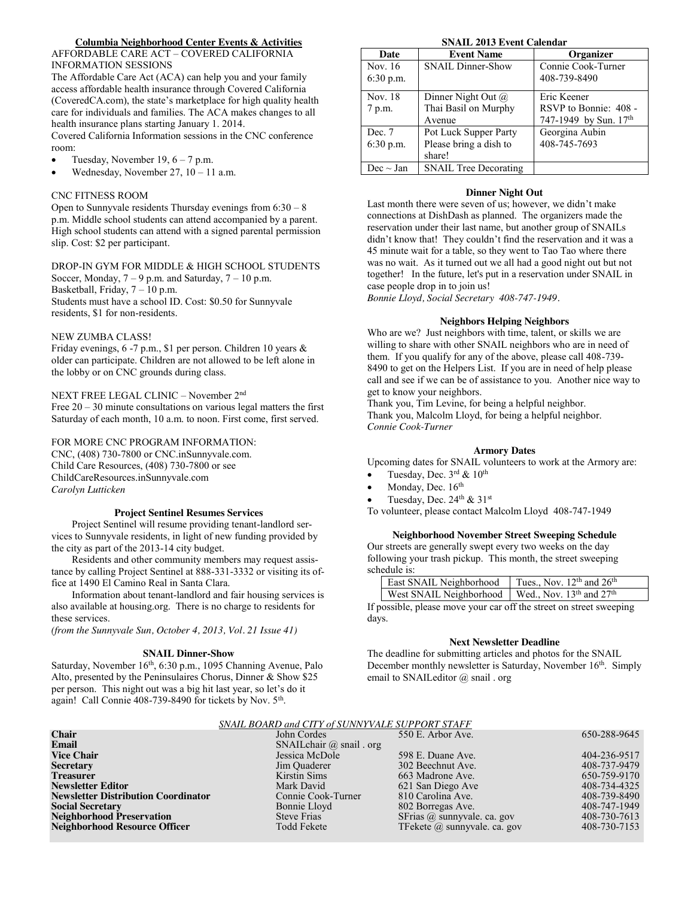## **Columbia Neighborhood Center Events & Activities**

AFFORDABLE CARE ACT – COVERED CALIFORNIA INFORMATION SESSIONS

The Affordable Care Act (ACA) can help you and your family access affordable health insurance through Covered California (CoveredCA.com), the state's marketplace for high quality health care for individuals and families. The ACA makes changes to all health insurance plans starting January 1. 2014. Covered California Information sessions in the CNC conference

room:

- Tuesday, November 19,  $6 7$  p.m.
- Wednesday, November 27, 10 11 a.m.

### CNC FITNESS ROOM

Open to Sunnyvale residents Thursday evenings from 6:30 – 8 p.m. Middle school students can attend accompanied by a parent. High school students can attend with a signed parental permission slip. Cost: \$2 per participant.

DROP-IN GYM FOR MIDDLE & HIGH SCHOOL STUDENTS Soccer, Monday,  $7 - 9$  p.m. and Saturday,  $7 - 10$  p.m. Basketball, Friday, 7 – 10 p.m. Students must have a school ID. Cost: \$0.50 for Sunnyvale residents, \$1 for non-residents.

#### NEW ZUMBA CLASS!

Friday evenings, 6 -7 p.m., \$1 per person. Children 10 years & older can participate. Children are not allowed to be left alone in the lobby or on CNC grounds during class.

NEXT FREE LEGAL CLINIC – November 2nd

Free  $20 - 30$  minute consultations on various legal matters the first Saturday of each month, 10 a.m. to noon. First come, first served.

#### FOR MORE CNC PROGRAM INFORMATION:

CNC, (408) 730-7800 or CNC.inSunnyvale.com. Child Care Resources, (408) 730-7800 or see ChildCareResources.inSunnyvale.com *Carolyn Lutticken*

#### **Project Sentinel Resumes Services**

Project Sentinel will resume providing tenant-landlord services to Sunnyvale residents, in light of new funding provided by the city as part of the 2013-14 city budget.

Residents and other community members may request assistance by calling Project Sentinel at 888-331-3332 or visiting its office at 1490 El Camino Real in Santa Clara.

Information about tenant-landlord and fair housing services is also available at housing.org. There is no charge to residents for these services.

*(from the Sunnyvale Sun, October 4, 2013, Vol. 21 Issue 41)*

## **SNAIL Dinner-Show**

Saturday, November 16<sup>th</sup>, 6:30 p.m., 1095 Channing Avenue, Palo Alto, presented by the Peninsulaires Chorus, Dinner & Show \$25 per person. This night out was a big hit last year, so let's do it again! Call Connie 408-739-8490 for tickets by Nov. 5<sup>th</sup>.

#### **SNAIL 2013 Event Calendar**

| Date           | <b>Event Name</b>            | <b>Organizer</b>      |
|----------------|------------------------------|-----------------------|
| Nov. 16        | <b>SNAIL Dinner-Show</b>     | Connie Cook-Turner    |
| $6:30$ p.m.    |                              | 408-739-8490          |
| Nov. 18        | Dinner Night Out @           | Eric Keener           |
| 7 p.m.         | Thai Basil on Murphy         | RSVP to Bonnie: 408 - |
|                | Avenue                       | 747-1949 by Sun. 17th |
| Dec. 7         | <b>Pot Luck Supper Party</b> | Georgina Aubin        |
| $6:30$ p.m.    | Please bring a dish to       | 408-745-7693          |
|                | share!                       |                       |
| $Dec \sim Jan$ | <b>SNAIL Tree Decorating</b> |                       |

#### **Dinner Night Out**

Last month there were seven of us; however, we didn't make connections at DishDash as planned. The organizers made the reservation under their last name, but another group of SNAILs didn't know that! They couldn't find the reservation and it was a 45 minute wait for a table, so they went to Tao Tao where there was no wait. As it turned out we all had a good night out but not together! In the future, let's put in a reservation under SNAIL in case people drop in to join us!

*Bonnie Lloyd, Social Secretary 408-747-1949.*

#### **Neighbors Helping Neighbors**

Who are we? Just neighbors with time, talent, or skills we are willing to share with other SNAIL neighbors who are in need of them. If you qualify for any of the above, please call 408-739- 8490 to get on the Helpers List. If you are in need of help please call and see if we can be of assistance to you. Another nice way to get to know your neighbors.

Thank you, Tim Levine, for being a helpful neighbor. Thank you, Malcolm Lloyd, for being a helpful neighbor. *Connie Cook-Turner*

#### **Armory Dates**

Upcoming dates for SNAIL volunteers to work at the Armory are:

- Tuesday, Dec.  $3^{\text{rd}}$  &  $10^{\text{th}}$
- Monday, Dec. 16<sup>th</sup>
- Tuesday, Dec.  $24<sup>th</sup>$  &  $31<sup>st</sup>$

To volunteer, please contact Malcolm Lloyd 408-747-1949

#### **Neighborhood November Street Sweeping Schedule**

Our streets are generally swept every two weeks on the day following your trash pickup. This month, the street sweeping schedule is:

|  | Tues., Nov. $12^{th}$ and $26^{th}$<br>East SNAIL Neighborhood             |
|--|----------------------------------------------------------------------------|
|  | West SNAIL Neighborhood   Wed., Nov. 13 <sup>th</sup> and 27 <sup>th</sup> |

If possible, please move your car off the street on street sweeping days.

#### **Next Newsletter Deadline**

The deadline for submitting articles and photos for the SNAIL December monthly newsletter is Saturday, November 16<sup>th</sup>. Simply email to SNAILeditor @ snail . org

|                                            | SNAIL BOARD and CITY of SUNNYVALE SUPPORT STAFF |                                    |              |  |  |
|--------------------------------------------|-------------------------------------------------|------------------------------------|--------------|--|--|
| <b>Chair</b>                               | John Cordes                                     | 550 E. Arbor Ave.                  | 650-288-9645 |  |  |
| Email                                      | SNAIL chair $(a)$ snail org                     |                                    |              |  |  |
| <b>Vice Chair</b>                          | Jessica McDole                                  | 598 E. Duane Ave.                  | 404-236-9517 |  |  |
| <b>Secretary</b>                           | Jim Quaderer                                    | 302 Beechnut Ave.                  | 408-737-9479 |  |  |
| <b>Treasurer</b>                           | Kirstin Sims                                    | 663 Madrone Ave.                   | 650-759-9170 |  |  |
| <b>Newsletter Editor</b>                   | Mark David                                      | 621 San Diego Ave                  | 408-734-4325 |  |  |
| <b>Newsletter Distribution Coordinator</b> | Connie Cook-Turner                              | 810 Carolina Ave.                  | 408-739-8490 |  |  |
| <b>Social Secretary</b>                    | Bonnie Lloyd                                    | 802 Borregas Ave.                  | 408-747-1949 |  |  |
| <b>Neighborhood Preservation</b>           | <b>Steve Frias</b>                              | SFrias $\omega$ sunnyvale. ca. gov | 408-730-7613 |  |  |
| <b>Neighborhood Resource Officer</b>       | <b>Todd Fekete</b>                              | TFekete @ sunnyvale. ca. gov       | 408-730-7153 |  |  |